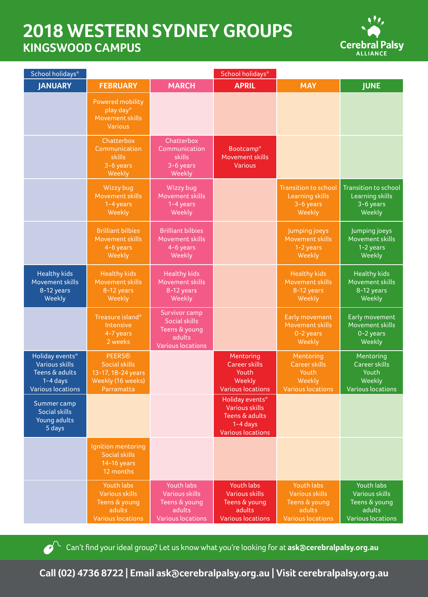## **2018 WESTERN SYDNEY GROUPS KINGSWOOD CAMPUS**



| School holidays*                                                                                     |                                                                                                |                                                                                              | School holidays*                                                                                       |                                                                                            |                                                                                                   |  |
|------------------------------------------------------------------------------------------------------|------------------------------------------------------------------------------------------------|----------------------------------------------------------------------------------------------|--------------------------------------------------------------------------------------------------------|--------------------------------------------------------------------------------------------|---------------------------------------------------------------------------------------------------|--|
| <b>JANUARY</b>                                                                                       | <b>FEBRUARY</b>                                                                                | <b>MARCH</b>                                                                                 | <b>APRIL</b>                                                                                           | <b>MAY</b>                                                                                 | <b>JUNE</b>                                                                                       |  |
|                                                                                                      | <b>Powered mobility</b><br>play day*<br>Movement skills<br><b>Various</b>                      |                                                                                              |                                                                                                        |                                                                                            |                                                                                                   |  |
|                                                                                                      | Chatterbox<br>Communication<br><b>skills</b><br>3-6 years<br>Weekly                            | Chatterbox<br>Communication<br>skills<br>3-6 years<br>Weekly                                 | Bootcamp*<br>Movement skills<br><b>Various</b>                                                         |                                                                                            |                                                                                                   |  |
|                                                                                                      | Wizzy bug<br>Movement skills<br>1-4 years<br>Weekly                                            | Wizzy bug<br>Movement skills<br>1-4 years<br>Weekly                                          |                                                                                                        | <b>Transition to school</b><br><b>Learning skills</b><br>3-6 years<br>Weekly               | <b>Transition to school</b><br>Learning skills<br>3-6 years<br>Weekly                             |  |
|                                                                                                      | <b>Brilliant bilbies</b><br><b>Movement skills</b><br>4-6 years<br>Weekly                      | <b>Brilliant bilbies</b><br>Movement skills<br>4-6 years<br>Weekly                           |                                                                                                        | Jumping joeys<br>Movement skills<br>1-2 years<br>Weekly                                    | Jumping joeys<br>Movement skills<br>1-2 years<br>Weekly                                           |  |
| <b>Healthy kids</b><br>Movement skills<br>8-12 years<br>Weekly                                       | <b>Healthy kids</b><br>Movement skills<br>8-12 years<br>Weekly                                 | <b>Healthy kids</b><br>Movement skills<br>8-12 years<br>Weekly                               |                                                                                                        | <b>Healthy kids</b><br><b>Movement skills</b><br>8-12 years<br>Weekly                      | <b>Healthy kids</b><br>Movement skills<br>8-12 years<br>Weekly                                    |  |
|                                                                                                      | Treasure island*<br>Intensive<br>4-7 years<br>2 weeks                                          | Survivor camp<br><b>Social skills</b><br>Teens & young<br>adults<br><b>Various locations</b> |                                                                                                        | Early movement<br>Movement skills<br>0-2 years<br>Weekly                                   | Early movement<br>Movement skills<br>$0-2$ years<br>Weekly                                        |  |
| Holiday events*<br><b>Various skills</b><br>Teens & adults<br>$1-4$ days<br><b>Various locations</b> | <b>PEERS®</b><br><b>Social skills</b><br>13-17, 18-24 years<br>Weekly (16 weeks)<br>Parramatta |                                                                                              | Mentoring<br><b>Career skills</b><br>Youth<br>Weekly<br><b>Various locations</b>                       | Mentoring<br><b>Career skills</b><br>Youth<br>Weekly<br><b>Various locations</b>           | Mentoring<br><b>Career skills</b><br>Youth<br>Weekly<br>Various locations                         |  |
| Summer camp<br><b>Social skills</b><br>Young adults<br>5 days                                        |                                                                                                |                                                                                              | Holiday events*<br><b>Various skills</b><br>Teens & adults<br>$1 - 4$ days<br><b>Various locations</b> |                                                                                            |                                                                                                   |  |
|                                                                                                      | Ignition mentoring<br><b>Social skills</b><br>14-16 years<br>12 months                         |                                                                                              |                                                                                                        |                                                                                            |                                                                                                   |  |
|                                                                                                      | Youth labs<br><b>Various skills</b><br>Teens & young<br>adults<br><b>Various locations</b>     | Youth labs<br><b>Various skills</b><br>Teens & young<br>adults<br>Various locations          | Youth labs<br><b>Various skills</b><br>Teens & young<br>adults<br><b>Various locations</b>             | Youth labs<br><b>Various skills</b><br>Teens & young<br>adults<br><b>Various locations</b> | <b>Youth labs</b><br><b>Various skills</b><br>Teens & young<br>adults<br><b>Various locations</b> |  |



Can't find your ideal group? Let us know what you're looking for at **ask@cerebralpalsy.org.au** 

**Call (02) 4736 8722 | Email ask@cerebralpalsy.org.au | Visit cerebralpalsy.org.au**